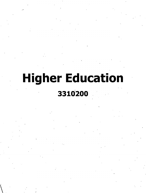## **Higher Education**

## **3310200**

V